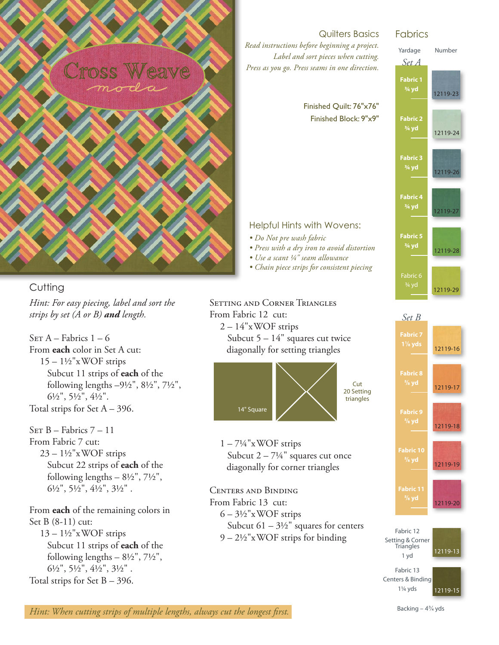

## **Cutting**

*Hint: For easy piecing, label and sort the strips by set (A or B) and length.*

SET  $A$  – Fabrics  $1 - 6$ From **each** color in Set A cut:  $15 - 1\frac{1}{2}$ "x WOF strips Subcut 11 strips of **each** of the following lengths –9½", 8½", 7½", 6½", 5½", 4½". Total strips for Set  $A - 396$ .

 $SET B - Fabrics 7 - 11$ From Fabric 7 cut:  $23 - 1\frac{1}{2}$ "xWOF strips Subcut 22 strips of **each** of the following lengths  $-8\frac{1}{2}$ ",  $7\frac{1}{2}$ ",  $6\frac{1}{2}$ ",  $5\frac{1}{2}$ ",  $4\frac{1}{2}$ ",  $3\frac{1}{2}$ ".

From **each** of the remaining colors in Set B (8-11) cut:  $13 - 1\frac{1}{2}$ "xWOF strips Subcut 11 strips of **each** of the following lengths  $-8\frac{1}{2}$ ",  $7\frac{1}{2}$ ",  $6\frac{1}{2}$ ",  $5\frac{1}{2}$ ",  $4\frac{1}{2}$ ",  $3\frac{1}{2}$ ". Total strips for Set  $B - 396$ .

# Quilters Basics *Read instructions before beginning a project.*

*Label and sort pieces when cutting. Press as you go. Press seams in one direction.*

#### Finished Quilt: 76"x76" Finished Block: 9"x9"

#### Helpful Hints with Wovens:

- *Do Not pre wash fabric*
- *Press with a dry iron to avoid distortion*
- *Use a scant ¼" seam allowance*
- *Chain piece strips for consistent piecing*



## Fabrics



12119-13 Fabric 12 Setting & Corner<br>Triangles 1 yd 12119-20

**Fabric 11**

12119-15 Fabric 13 Centers & Binding 1¼ yds

*Hint: When cutting strips of multiple lengths, always cut the longest first.*